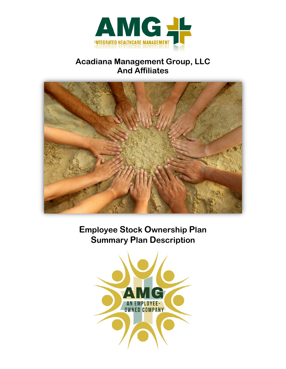

# **Acadiana Management Group, LLC And Affiliates**



**Employee Stock Ownership Plan Summary Plan Description**

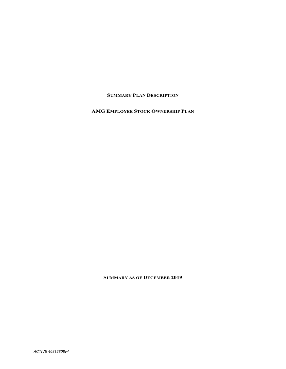# **SUMMARY PLAN DESCRIPTION**

**AMG EMPLOYEE STOCK OWNERSHIP PLAN**

**SUMMARY AS OF DECEMBER 2019**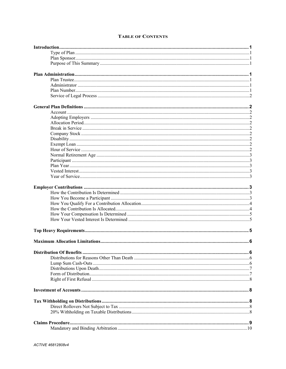# **TABLE OF CONTENTS**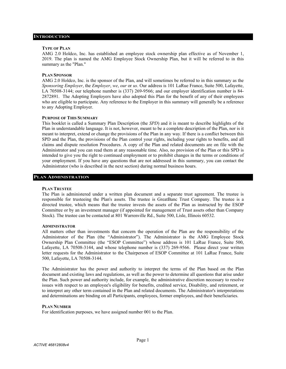#### **TYPE OF PLAN**

AMG 2.0 Holdco, Inc. has established an employee stock ownership plan effective as of November 1, 2019. The plan is named the AMG Employee Stock Ownership Plan, but it will be referred to in this summary as the "Plan."

### **PLAN SPONSOR**

AMG 2.0 Holdco, Inc. is the sponsor of the Plan, and will sometimes be referred to in this summary as the *Sponsoring Employer*, the *Employer*, *we*, *our* or *us*. Our address is 101 LaRue France, Suite 500, Lafayette, LA 70508-3144; our telephone number is (337) 269-9566; and our employer identification number is 84- 2872891. The Adopting Employers have also adopted this Plan for the benefit of any of their employees who are eligible to participate. Any reference to the Employer in this summary will generally be a reference to any Adopting Employer.

### **PURPOSE OF THIS SUMMARY**

This booklet is called a Summary Plan Description (the *SPD*) and it is meant to describe highlights of the Plan in understandable language. It is not, however, meant to be a complete description of the Plan, nor is it meant to interpret, extend or change the provisions of the Plan in any way. If there is a conflict between this SPD and the Plan, the provisions of the Plan control your rights, including your rights to benefits, and all claims and dispute resolution Procedures. A copy of the Plan and related documents are on file with the Administrator and you can read them at any reasonable time. Also, no provision of the Plan or this SPD is intended to give you the right to continued employment or to prohibit changes in the terms or conditions of your employment. If you have any questions that are not addressed in this summary, you can contact the Administrator (who is described in the next section) during normal business hours.

# **PLAN ADMINISTRATION**

#### **PLAN TRUSTEE**

The Plan is administered under a written plan document and a separate trust agreement. The trustee is responsible for trusteeing the Plan's assets. The trustee is GreatBanc Trust Company. The trustee is a directed trustee, which means that the trustee invests the assets of the Plan as instructed by the ESOP Committee or by an investment manager (if appointed for management of Trust assets other than Company Stock). The trustee can be contacted at 801 Warrenville Rd., Suite 500, Lisle, Illinois 60532.

#### **ADMINISTRATOR**

All matters other than investments that concern the operation of the Plan are the responsibility of the Administrator of the Plan (the "Administrator"). The Administrator is the AMG Employee Stock Ownership Plan Committee (the "ESOP Committee") whose address is 101 LaRue France, Suite 500, Lafayette, LA 70508-3144, and whose telephone number is (337) 269-9566. Please direct your written letter requests for the Administrator to the Chairperson of ESOP Committee at 101 LaRue France, Suite 500, Lafayette, LA 70508-3144.

The Administrator has the power and authority to interpret the terms of the Plan based on the Plan document and existing laws and regulations, as well as the power to determine all questions that arise under the Plan. Such power and authority include, for example, the administrative discretion necessary to resolve issues with respect to an employee's eligibility for benefits, credited service, Disability, and retirement, or to interpret any other term contained in the Plan and related documents. The Administrator's interpretations and determinations are binding on all Participants, employees, former employees, and their beneficiaries.

### **PLAN NUMBER**

For identification purposes, we have assigned number 001 to the Plan.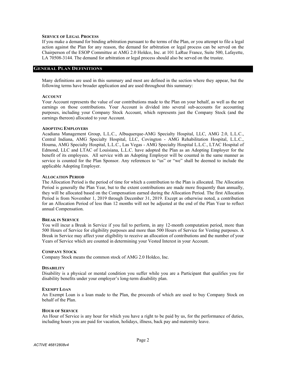# **SERVICE OF LEGAL PROCESS**

If you make a demand for binding arbitration pursuant to the terms of the Plan, or you attempt to file a legal action against the Plan for any reason, the demand for arbitration or legal process can be served on the Chairperson of the ESOP Committee at AMG 2.0 Holdco, Inc. at 101 LaRue France, Suite 500, Lafayette, LA 70508-3144. The demand for arbitration or legal process should also be served on the trustee.

### **GENERAL PLAN DEFINITIONS**

Many definitions are used in this summary and most are defined in the section where they appear, but the following terms have broader application and are used throughout this summary:

# **ACCOUNT**

Your Account represents the value of our contributions made to the Plan on your behalf, as well as the net earnings on those contributions. Your Account is divided into several sub-accounts for accounting purposes, including your Company Stock Account, which represents just the Company Stock (and the earnings thereon) allocated to your Account.

### **ADOPTING EMPLOYERS**

Acadiana Management Group, L.L.C., Albuquerque-AMG Specialty Hospital, LLC, AMG 2.0, L.L.C., Central Indiana, AMG Specialty Hospital, LLC, Covington - AMG Rehabilitation Hospital, L.L.C., Houma, AMG Specialty Hospital, L.L.C., Las Vegas - AMG Specialty Hospital L.L.C., LTAC Hospital of Edmond, LLC and LTAC of Louisiana, L.L.C. have adopted the Plan as an Adopting Employer for the benefit of its employees. All service with an Adopting Employer will be counted in the same manner as service is counted for the Plan Sponsor. Any references to "us" or "we" shall be deemed to include the applicable Adopting Employer.

### **ALLOCATION PERIOD**

The Allocation Period is the period of time for which a contribution to the Plan is allocated. The Allocation Period is generally the Plan Year, but to the extent contributions are made more frequently than annually, they will be allocated based on the Compensation earned during the Allocation Period. The first Allocation Period is from November 1, 2019 through December 31, 2019. Except as otherwise noted, a contribution for an Allocation Period of less than 12 months will not be adjusted at the end of the Plan Year to reflect annual Compensation.

#### **BREAK IN SERVICE**

You will incur a Break in Service if you fail to perform, in any 12-month computation period, more than 500 Hours of Service for eligibility purposes and more than 500 Hours of Service for Vesting purposes. A Break in Service may affect your eligibility to receive an allocation of contributions and the number of your Years of Service which are counted in determining your Vested Interest in your Account.

#### **COMPANY STOCK**

Company Stock means the common stock of AMG 2.0 Holdco, Inc.

### **DISABILITY**

Disability is a physical or mental condition you suffer while you are a Participant that qualifies you for disability benefits under your employer's long-term disability plan.

### **EXEMPT LOAN**

An Exempt Loan is a loan made to the Plan, the proceeds of which are used to buy Company Stock on behalf of the Plan.

#### **HOUR OF SERVICE**

An Hour of Service is any hour for which you have a right to be paid by us, for the performance of duties, including hours you are paid for vacation, holidays, illness, back pay and maternity leave.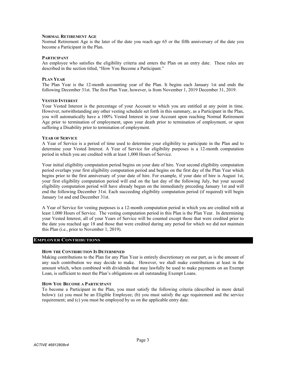# **NORMAL RETIREMENT AGE**

Normal Retirement Age is the later of the date you reach age 65 or the fifth anniversary of the date you become a Participant in the Plan.

### **PARTICIPANT**

An employee who satisfies the eligibility criteria and enters the Plan on an entry date. These rules are described in the section titled, "How You Become a Participant."

### **PLAN YEAR**

The Plan Year is the 12-month accounting year of the Plan. It begins each January 1st and ends the following December 31st. The first Plan Year, however, is from November 1, 2019 December 31, 2019.

### **VESTED INTEREST**

Your Vested Interest is the percentage of your Account to which you are entitled at any point in time. However, notwithstanding any other vesting schedule set forth in this summary, as a Participant in the Plan, you will automatically have a 100% Vested Interest in your Account upon reaching Normal Retirement Age prior to termination of employment, upon your death prior to termination of employment, or upon suffering a Disability prior to termination of employment.

### **YEAR OF SERVICE**

A Year of Service is a period of time used to determine your eligibility to participate in the Plan and to determine your Vested Interest. A Year of Service for eligibility purposes is a 12-month computation period in which you are credited with at least 1,000 Hours of Service.

Your initial eligibility computation period begins on your date of hire. Your second eligibility computation period overlaps your first eligibility computation period and begins on the first day of the Plan Year which begins prior to the first anniversary of your date of hire. For example, if your date of hire is August 1st, your first eligibility computation period will end on the last day of the following July, but your second eligibility computation period will have already begun on the immediately preceding January 1st and will end the following December 31st. Each succeeding eligibility computation period (if required) will begin January 1st and end December 31st.

A Year of Service for vesting purposes is a 12-month computation period in which you are credited with at least 1,000 Hours of Service. The vesting computation period in this Plan is the Plan Year. In determining your Vested Interest, all of your Years of Service will be counted except those that were credited prior to the date you reached age 18 and those that were credited during any period for which we did not maintain this Plan (i.e., prior to November 1, 2019).

### **EMPLOYER CONTRIBUTIONS**

### **HOW THE CONTRIBUTION IS DETERMINED**

Making contributions to the Plan for any Plan Year is entirely discretionary on our part, as is the amount of any such contribution we may decide to make. However, we shall make contributions at least in the amount which, when combined with dividends that may lawfully be used to make payments on an Exempt Loan, is sufficient to meet the Plan's obligations on all outstanding Exempt Loans.

# **HOW YOU BECOME A PARTICIPANT**

To become a Participant in the Plan, you must satisfy the following criteria (described in more detail below): (a) you must be an Eligible Employee; (b) you must satisfy the age requirement and the service requirement; and (c) you must be employed by us on the applicable entry date.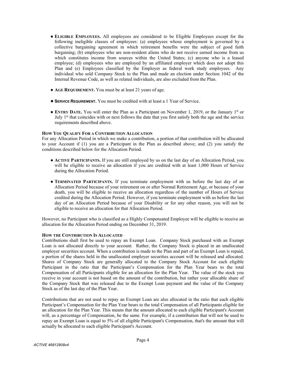- **● ELIGIBLE EMPLOYEES.** All employees are considered to be Eligible Employees except for the following ineligible classes of employees: (a) employees whose employment is governed by a collective bargaining agreement in which retirement benefits were the subject of good faith bargaining; (b) employees who are non-resident aliens who do not receive earned income from us which constitutes income from sources within the United States; (c) anyone who is a leased employee; (d) employees who are employed by an affiliated employer which does not adopt this Plan and (e) Employees classified by the Employer as federal work study employees. Any individual who sold Company Stock to the Plan and made an election under Section 1042 of the Internal Revenue Code, as well as related individuals, are also excluded from the Plan.
- **● AGE REQUIREMENT.** You must be at least 21 years of age.
- ● **SERVICE REQUIREMENT.** You must be credited with at least a 1 Year of Service.
- **ENTRY DATE.** You will enter the Plan as a Participant on November 1, 2019, or the January 1<sup>st</sup> or July 1<sup>st</sup> that coincides with or next follows the date that you first satisfy both the age and the service requirements described above.

# **HOW YOU QUALIFY FOR A CONTRIBUTION ALLOCATION**

For any Allocation Period in which we make a contribution, a portion of that contribution will be allocated to your Account if (1) you are a Participant in the Plan as described above; and (2) you satisfy the conditions described below for the Allocation Period.

- **ACTIVE PARTICIPANTS.** If you are still employed by us on the last day of an Allocation Period, you will be eligible to receive an allocation if you are credited with at least 1,000 Hours of Service during the Allocation Period.
- **● TERMINATED PARTICIPANTS.** If you terminate employment with us before the last day of an Allocation Period because of your retirement on or after Normal Retirement Age, or because of your death, you will be eligible to receive an allocation regardless of the number of Hours of Service credited during the Allocation Period. However, if you terminate employment with us before the last day of an Allocation Period because of your Disability or for any other reason, you will not be eligible to receive an allocation for that Allocation Period.

However, no Participant who is classified as a Highly Compensated Employee will be eligible to receive an allocation for the Allocation Period ending on December 31, 2019.

### **HOW THE CONTRIBUTION IS ALLOCATED**

Contributions shall first be used to repay an Exempt Loan. Company Stock purchased with an Exempt Loan is not allocated directly to your account. Rather, the Company Stock is placed in an unallocated employer securities account. When a contribution is made to the Plan and part of an Exempt Loan is repaid, a portion of the shares held in the unallocated employer securities account will be released and allocated. Shares of Company Stock are generally allocated to the Company Stock Account for each eligible Participant in the ratio that the Participant's Compensation for the Plan Year bears to the total Compensation of all Participants eligible for an allocation for the Plan Year. The value of the stock you receive in your account is not based on the amount of the contribution, but rather your allocable share of the Company Stock that was released due to the Exempt Loan payment and the value of the Company Stock as of the last day of the Plan Year.

Contributions that are not used to repay an Exempt Loan are also allocated in the ratio that each eligible Participant's Compensation for the Plan Year bears to the total Compensation of all Participants eligible for an allocation for the Plan Year. This means that the amount allocated to each eligible Participant's Account will, as a percentage of Compensation, be the same. For example, if a contribution that will not be used to repay an Exempt Loan is equal to 5% of all eligible Participant's Compensation, that's the amount that will actually be allocated to each eligible Participant's Account.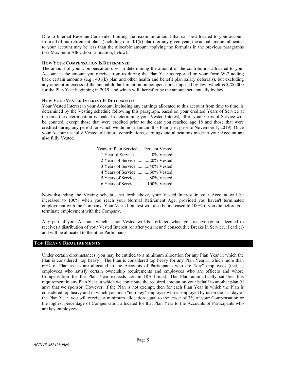Due to Internal Revenue Code rules limiting the maximum amount that can be allocated to your account from all of our retirement plans (including our 401(k) plan) for any given year, the actual amount allocated to your account may be less than the allocable amount applying the formulas in the previous paragraphs (see Maximum Allocation Limitation, below).

# **HOW YOUR COMPENSATION IS DETERMINED**

The amount of your Compensation used in determining the amount of the contribution allocated to your Account is the amount you receive from us during the Plan Year as reported on your Form W-2 adding back certain amounts (e.g., 401(k) plan and other health and benefit plan salary deferrals), but excluding any amount in excess of the annual dollar limitation on compensation imposed by law, which is \$280,000 for the Plan Year beginning in 2019, and which will thereafter be the amount set annually by law.

# **HOW YOUR VESTED INTEREST IS DETERMINED**

Your Vested Interest in your Account, including any earnings allocated to this account from time to time, is determined by the Vesting schedule following this paragraph, based on your credited Years of Service at the time the determination is made. In determining your Vested Interest, all of your Years of Service will be counted, except those that were credited prior to the date you reached age 18 and those that were credited during any period for which we did not maintain this Plan (i.e., prior to November 1, 2019). Once your Account is fully Vested, all future contributions, earnings and allocations made to your Account are also fully Vested.

| <u>Years of Plan Service</u> Percent Vested |
|---------------------------------------------|
|                                             |
| 2 Years of Service 20% Vested               |
| 3 Years of Service 40% Vested               |
| 4 Years of Service 60% Vested               |
| 5 Years of Service 80% Vested               |
| 6 Years of Service 100% Vested              |

Notwithstanding the Vesting schedule set forth above, your Vested Interest in your Account will be increased to 100% when you reach your Normal Retirement Age, provided you haven't terminated employment with the Company. Your Vested Interest will also be increased to 100% if you die before you terminate employment with the Company.

Any part of your Account which is not Vested will be forfeited when you receive (or are deemed to receive) a distribution of your Vested Interest (or after you incur 5 consecutive Breaks in Service, if earlier) and will be allocated to the other Participants.

# **TOP HEAVY REQUIREMENTS**

Under certain circumstances, you may be entitled to a minimum allocation for any Plan Year in which the Plan is considered "top heavy." The Plan is considered top heavy for any Plan Year in which more than 60% of Plan assets are allocated to the Accounts of Participants who are "key" employees (that is, employees who satisfy certain ownership requirements and employees who are officers and whose Compensation for the Plan Year exceeds certain IRS limits). The Plan automatically satisfies this requirement in any Plan Year in which we contribute the required amount on your behalf to another plan (if any) that we sponsor. However, if the Plan is not exempt, then for each Plan Year in which the Plan is considered top heavy and in which you are a "non-key" employee who is employed by us on the last day of the Plan Year, you will receive a minimum allocation equal to the lesser of 3% of your Compensation or the highest percentage of Compensation allocated for that Plan Year to the Accounts of Participants who are key employees.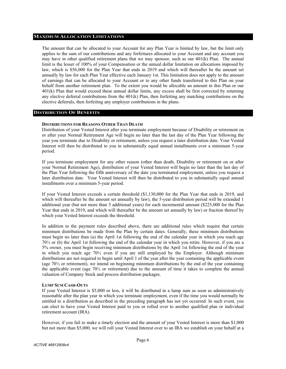### **MAXIMUM ALLOCATION LIMITATIONS**

The amount that can be allocated to your Account for any Plan Year is limited by law, but the limit only applies to the sum of our contributions and any forfeitures allocated to your Account and any account you may have in other qualified retirement plans that we may sponsor, such as our 401(k) Plan. The annual limit is the lesser of 100% of your Compensation or the annual dollar limitation on allocations imposed by law, which is \$56,000 for the Plan Year that ends in 2019 and which will thereafter be the amount set annually by law for each Plan Year effective each January 1st. This limitation does not apply to the amount of earnings that can be allocated to your Account or to any other funds transferred to this Plan on your behalf from another retirement plan. To the extent you would be allocable an amount in this Plan or our 401(k) Plan that would exceed these annual dollar limits, any excess shall be first corrected by returning any elective deferral contributions from the  $401(k)$  Plan, then forfeiting any matching contributions on the elective deferrals, then forfeiting any employer contributions in the plans.

# **DISTRIBUTION OF BENEFITS**

# **DISTRIBUTIONS FOR REASONS OTHER THAN DEATH**

Distribution of your Vested Interest after you terminate employment because of Disability or retirement on or after your Normal Retirement Age will begin no later than the last day of the Plan Year following the year you terminate due to Disability or retirement, unless you request a later distribution date. Your Vested Interest will then be distributed to you in substantially equal annual installments over a minimum 5-year period.

If you terminate employment for any other reason (other than death, Disability or retirement on or after your Normal Retirement Age), distribution of your Vested Interest will begin no later than the last day of the Plan Year following the fifth anniversary of the date you terminated employment, unless you request a later distribution date. Your Vested Interest will then be distributed to you in substantially equal annual installments over a minimum 5-year period.

If your Vested Interest exceeds a certain threshold (\$1,130,000 for the Plan Year that ends in 2019, and which will thereafter be the amount set annually by law), the 5-year distribution period will be extended 1 additional year (but not more than 5 additional years) for each incremental amount (\$225,000 for the Plan Year that ends in 2019, and which will thereafter be the amount set annually by law) or fraction thereof by which your Vested Interest exceeds the threshold.

In addition to the payment rules described above, there are additional rules which require that certain minimum distributions be made from the Plan by certain dates. Generally, these minimum distributions must begin no later than (a) the April 1st following the end of the calendar year in which you reach age 70½ or (b) the April 1st following the end of the calendar year in which you retire. However, if you are a 5% owner, you must begin receiving minimum distributions by the April 1st following the end of the year in which you reach age  $70\frac{1}{2}$  even if you are still employed by the Employer. Although minimum distributions are not required to begin until April 1 of the year after the year containing the applicable event (age 70½ or retirement), we intend on beginning minimum distributions by the end of the year containing the applicable event (age  $70\frac{1}{2}$  or retirement) due to the amount of time it takes to complete the annual valuation of Company Stock and process distribution packages.

### **LUMP SUM CASH-OUTS**

If your Vested Interest is \$5,000 or less, it will be distributed in a lump sum as soon as administratively reasonable after the plan year in which you terminate employment, even if the time you would normally be entitled to a distribution as described in the preceding paragraph has not yet occurred. In such event, you can elect to have your Vested Interest paid to you or rolled over to another qualified plan or individual retirement account (IRA).

However, if you fail to make a timely election and the amount of your Vested Interest is more than \$1,000 but not more than \$5,000, we will roll your Vested Interest over to an IRA we establish on your behalf at a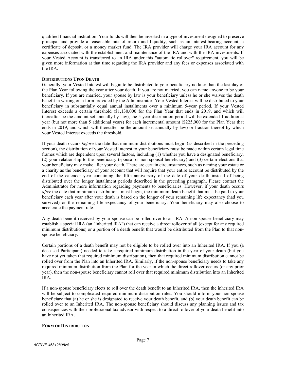qualified financial institution. Your funds will then be invested in a type of investment designed to preserve principal and provide a reasonable rate of return and liquidity, such as an interest-bearing account, a certificate of deposit, or a money market fund. The IRA provider will charge your IRA account for any expenses associated with the establishment and maintenance of the IRA and with the IRA investments. If your Vested Account is transferred to an IRA under this "automatic rollover" requirement, you will be given more information at that time regarding the IRA provider and any fees or expenses associated with the IRA.

### **DISTRIBUTIONS UPON DEATH**

Generally, your Vested Interest will begin to be distributed to your beneficiary no later than the last day of the Plan Year following the year after your death. If you are not married, you can name anyone to be your beneficiary. If you are married, your spouse by law is your beneficiary unless he or she waives the death benefit in writing on a form provided by the Administrator. Your Vested Interest will be distributed to your beneficiary in substantially equal annual installments over a minimum 5-year period. If your Vested Interest exceeds a certain threshold (\$1,130,000 for the Plan Year that ends in 2019, and which will thereafter be the amount set annually by law), the 5-year distribution period will be extended 1 additional year (but not more than 5 additional years) for each incremental amount (\$225,000 for the Plan Year that ends in 2019, and which will thereafter be the amount set annually by law) or fraction thereof by which your Vested Interest exceeds the threshold.

If your death occurs *before* the date that minimum distributions must begin (as described in the preceding section), the distribution of your Vested Interest to your beneficiary must be made within certain legal time frames which are dependent upon several factors, including (1) whether you have a designated beneficiary, (2) your relationship to the beneficiary (spousal or non-spousal beneficiary) and (3) certain elections that your beneficiary may make after your death. There are certain circumstances, such as naming your estate or a charity as the beneficiary of your account that will require that your entire account be distributed by the end of the calendar year containing the fifth anniversary of the date of your death instead of being distributed over the longer installment periods described in the preceding paragraph. Please contact the Administrator for more information regarding payments to beneficiaries. However, if your death occurs *after* the date that minimum distributions must begin, the minimum death benefit that must be paid to your beneficiary each year after your death is based on the longer of your remaining life expectancy (had you survived) or the remaining life expectancy of your beneficiary. Your beneficiary may also choose to accelerate the payment rate.

Any death benefit received by your spouse can be rolled over to an IRA. A non-spouse beneficiary may establish a special IRA (an "Inherited IRA") that can receive a direct rollover of all (except for any required minimum distributions) or a portion of a death benefit that would be distributed from the Plan to that nonspouse beneficiary.

Certain portions of a death benefit may not be eligible to be rolled over into an Inherited IRA. If you (a deceased Participant) needed to take a required minimum distribution in the year of your death (but you have not yet taken that required minimum distribution), then that required minimum distribution cannot be rolled over from the Plan into an Inherited IRA. Similarly, if the non-spouse beneficiary needs to take any required minimum distribution from the Plan for the year in which the direct rollover occurs (or any prior year), then the non-spouse beneficiary cannot roll over that required minimum distribution into an Inherited IRA.

If a non-spouse beneficiary elects to roll over the death benefit to an Inherited IRA, then the inherited IRA will be subject to complicated required minimum distribution rules. You should inform your non-spouse beneficiary that (a) he or she is designated to receive your death benefit, and (b) your death benefit can be rolled over to an Inherited IRA. The non-spouse beneficiary should discuss any planning issues and tax consequences with their professional tax advisor with respect to a direct rollover of your death benefit into an Inherited IRA.

### **FORM OF DISTRIBUTION**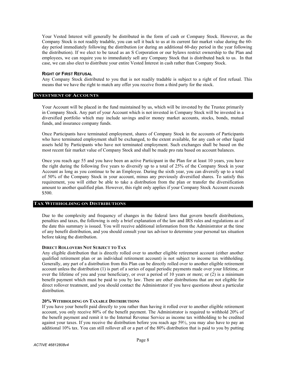Your Vested Interest will generally be distributed in the form of cash or Company Stock. However, as the Company Stock is not readily tradable, you can sell it back to us at its current fair market value during the 60 day period immediately following the distribution (or during an additional 60-day period in the year following the distribution). If we elect to be taxed as an S Corporation or our bylaws restrict ownership to the Plan and employees, we can require you to immediately sell any Company Stock that is distributed back to us. In that case, we can also elect to distribute your entire Vested Interest in cash rather than Company Stock.

# **RIGHT OF FIRST REFUSAL**

Any Company Stock distributed to you that is not readily tradable is subject to a right of first refusal. This means that we have the right to match any offer you receive from a third party for the stock.

# **INVESTMENT OF ACCOUNTS**

Your Account will be placed in the fund maintained by us, which will be invested by the Trustee primarily in Company Stock. Any part of your Account which is not invested in Company Stock will be invested in a diversified portfolio which may include savings and/or money market accounts, stocks, bonds, mutual funds, and insurance company funds.

Once Participants have terminated employment, shares of Company Stock in the accounts of Participants who have terminated employment shall be exchanged, to the extent available, for any cash or other liquid assets held by Participants who have not terminated employment. Such exchanges shall be based on the most recent fair market value of Company Stock and shall be made pro rata based on account balances.

Once you reach age 55 and you have been an active Participant in the Plan for at least 10 years, you have the right during the following five years to diversify up to a total of 25% of the Company Stock in your Account as long as you continue to be an Employee. During the sixth year, you can diversify up to a total of 50% of the Company Stock in your account, minus any previously diversified shares. To satisfy this requirement, you will either be able to take a distribution from the plan or transfer the diversification amount to another qualified plan. However, this right only applies if your Company Stock Account exceeds \$500.

### **TAX WITHHOLDING ON DISTRIBUTIONS**

Due to the complexity and frequency of changes in the federal laws that govern benefit distributions, penalties and taxes, the following is only a brief explanation of the law and IRS rules and regulations as of the date this summary is issued. You will receive additional information from the Administrator at the time of any benefit distribution, and you should consult your tax advisor to determine your personal tax situation before taking the distribution.

### **DIRECT ROLLOVERS NOT SUBJECT TO TAX**

Any eligible distribution that is directly rolled over to another eligible retirement account (either another qualified retirement plan or an individual retirement account) is not subject to income tax withholding. Generally, any part of a distribution from this Plan can be directly rolled over to another eligible retirement account unless the distribution (1) is part of a series of equal periodic payments made over your lifetime, or over the lifetime of you and your beneficiary, or over a period of 10 years or more; or (2) is a minimum benefit payment which must be paid to you by law. There are other distributions that are not eligible for direct rollover treatment, and you should contact the Administrator if you have questions about a particular distribution.

# **20% WITHHOLDING ON TAXABLE DISTRIBUTIONS**

If you have your benefit paid directly to you rather than having it rolled over to another eligible retirement account, you only receive 80% of the benefit payment. The Administrator is required to withhold 20% of the benefit payment and remit it to the Internal Revenue Service as income tax withholding to be credited against your taxes. If you receive the distribution before you reach age 59½, you may also have to pay an additional 10% tax. You can still rollover all or a part of the 80% distribution that is paid to you by putting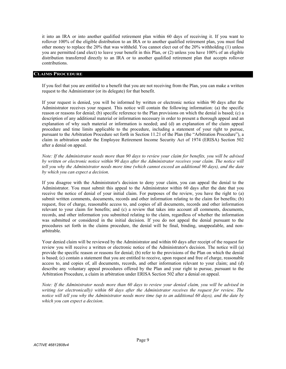it into an IRA or into another qualified retirement plan within 60 days of receiving it. If you want to rollover 100% of the eligible distribution to an IRA or to another qualified retirement plan, you must find other money to replace the 20% that was withheld. You cannot elect out of the 20% withholding (1) unless you are permitted (and elect) to leave your benefit in this Plan, or (2) unless you have 100% of an eligible distribution transferred directly to an IRA or to another qualified retirement plan that accepts rollover contributions.

### **CLAIMS PROCEDURE**

If you feel that you are entitled to a benefit that you are not receiving from the Plan, you can make a written request to the Administrator (or its delegate) for that benefit.

If your request is denied, you will be informed by written or electronic notice within 90 days after the Administrator receives your request. This notice will contain the following information: (a) the specific reason or reasons for denial; (b) specific reference to the Plan provisions on which the denial is based; (c) a description of any additional material or information necessary in order to present a thorough appeal and an explanation of why such material or information is needed; and (d) an explanation of the claim appeal procedure and time limits applicable to the procedure, including a statement of your right to pursue, pursuant to the Arbitration Procedure set forth in Section 11.21 of the Plan (the "Arbitration Procedure"), a claim in arbitration under the Employee Retirement Income Security Act of 1974 (ERISA) Section 502 after a denial on appeal.

*Note: If the Administrator needs more than 90 days to review your claim for benefits, you will be advised by written or electronic notice within 90 days after the Administrator receives your claim. The notice will tell you why the Administrator needs more time (which cannot exceed an additional 90 days), and the date by which you can expect a decision*.

If you disagree with the Administrator's decision to deny your claim, you can appeal the denial to the Administrator. You must submit this appeal to the Administrator within 60 days after the date that you receive the notice of denial of your initial claim. For purposes of the review, you have the right to (a) submit written comments, documents, records and other information relating to the claim for benefits; (b) request, free of charge, reasonable access to, and copies of all documents, records and other information relevant to your claim for benefits; and (c) a review that takes into account all comments, documents, records, and other information you submitted relating to the claim, regardless of whether the information was submitted or considered in the initial decision. If you do not appeal the denial pursuant to the procedures set forth in the claims procedure, the denial will be final, binding, unappealable, and nonarbitrable.

Your denied claim will be reviewed by the Administrator and within 60 days after receipt of the request for review you will receive a written or electronic notice of the Administrator's decision. The notice will (a) provide the specific reason or reasons for denial; (b) refer to the provisions of the Plan on which the denial is based; (c) contain a statement that you are entitled to receive, upon request and free of charge, reasonable access to, and copies of, all documents, records, and other information relevant to your claim; and (d) describe any voluntary appeal procedures offered by the Plan and your right to pursue, pursuant to the Arbitration Procedure, a claim in arbitration under ERISA Section 502 after a denial on appeal.

*Note: If the Administrator needs more than 60 days to review your denied claim, you will be advised in writing (or electronically) within 60 days after the Administrator receives the request for review. The notice will tell you why the Administrator needs more time (up to an additional 60 days), and the date by which you can expect a decision*.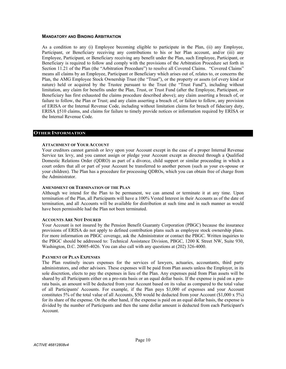### **MANDATORY AND BINDING ARBITRATION**

As a condition to any (i) Employee becoming eligible to participate in the Plan, (ii) any Employee, Participant, or Beneficiary receiving any contributions to his or her Plan account, and/or (iii) any Employee, Participant, or Beneficiary receiving any benefit under the Plan, such Employee, Participant, or Beneficiary is required to follow and comply with the provisions of the Arbitration Procedure set forth in Section 11.21 of the Plan (the "Arbitration Procedure") to resolve all Covered Claims. "Covered Claims" means all claims by an Employee, Participant or Beneficiary which arises out of, relates to, or concerns the Plan, the AMG Employee Stock Ownership Trust (the "Trust"), or the property or assets (of every kind or nature) held or acquired by the Trustee pursuant to the Trust (the "Trust Fund"), including without limitation, any claim for benefits under the Plan, Trust, or Trust Fund (after the Employee, Participant, or Beneficiary has first exhausted the claims procedure described above); any claim asserting a breach of, or failure to follow, the Plan or Trust; and any claim asserting a breach of, or failure to follow, any provision of ERISA or the Internal Revenue Code, including without limitation claims for breach of fiduciary duty, ERISA §510 claims, and claims for failure to timely provide notices or information required by ERISA or the Internal Revenue Code.

### **OTHER INFORMATION**

### **ATTACHMENT OF YOUR ACCOUNT**

Your creditors cannot garnish or levy upon your Account except in the case of a proper Internal Revenue Service tax levy, and you cannot assign or pledge your Account except as directed through a Qualified Domestic Relations Order (QDRO) as part of a divorce, child support or similar proceeding in which a court orders that all or part of your Account be transferred to another person (such as your ex-spouse or your children). The Plan has a procedure for processing QDROs, which you can obtain free of charge from the Administrator.

### **AMENDMENT OR TERMINATION OF THE PLAN**

Although we intend for the Plan to be permanent, we can amend or terminate it at any time. Upon termination of the Plan, all Participants will have a 100% Vested Interest in their Accounts as of the date of termination, and all Accounts will be available for distribution at such time and in such manner as would have been permissible had the Plan not been terminated.

### **ACCOUNTS ARE NOT INSURED**

Your Account is not insured by the Pension Benefit Guaranty Corporation (PBGC) because the insurance provisions of ERISA do not apply to defined contribution plans such as employee stock ownership plans. For more information on PBGC coverage, ask the Administrator or contact the PBGC. Written inquiries to the PBGC should be addressed to: Technical Assistance Division, PBGC, 1200 K Street NW, Suite 930, Washington, D.C. 20005-4026. You can also call with any questions at (202) 326-4000.

### **PAYMENT OF PLAN EXPENSES**

The Plan routinely incurs expenses for the services of lawyers, actuaries, accountants, third party administrators, and other advisors. These expenses will be paid from Plan assets unless the Employer, in its sole discretion, elects to pay the expenses in lieu of the Plan. Any expenses paid from Plan assets will be shared by all Participants either on a pro-rata basis or an equal dollar basis. If the expense is paid on a prorata basis, an amount will be deducted from your Account based on its value as compared to the total value of all Participants' Accounts. For example, if the Plan pays \$1,000 of expenses and your Account constitutes 5% of the total value of all Accounts, \$50 would be deducted from your Account (\$1,000 x 5%) for its share of the expense. On the other hand, if the expense is paid on an equal dollar basis, the expense is divided by the number of Participants and then the same dollar amount is deducted from each Participant's Account.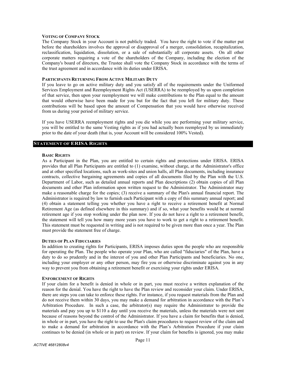# **VOTING OF COMPANY STOCK**

The Company Stock in your Account is not publicly traded. You have the right to vote if the matter put before the shareholders involves the approval or disapproval of a merger, consolidation, recapitalization, reclassification, liquidation, dissolution, or a sale of substantially all corporate assets. On all other corporate matters requiring a vote of the shareholders of the Company, including the election of the Company's board of directors, the Trustee shall vote the Company Stock in accordance with the terms of the trust agreement and in accordance with its duties under ERISA.

# **PARTICIPANTS RETURNING FROM ACTIVE MILITARY DUTY**

If you leave to go on active military duty and you satisfy all of the requirements under the Uniformed Services Employment and Reemployment Rights Act (USERRA) to be reemployed by us upon completion of that service, then upon your reemployment we will make contributions to the Plan equal to the amount that would otherwise have been made for you but for the fact that you left for military duty. These contributions will be based upon the amount of Compensation that you would have otherwise received from us during your period of military service.

If you have USERRA reemployment rights and you die while you are performing your military service, you will be entitled to the same Vesting rights as if you had actually been reemployed by us immediately prior to the date of your death (that is, your Account will be considered 100% Vested).

# **STATEMENT OF ERISA RIGHTS**

### **BASIC RIGHTS**

As a Participant in the Plan, you are entitled to certain rights and protections under ERISA. ERISA provides that all Plan Participants are entitled to (1) examine, without charge, at the Administrator's office and at other specified locations, such as work-sites and union halls, all Plan documents, including insurance contracts, collective bargaining agreements and copies of all documents filed by the Plan with the U.S. Department of Labor, such as detailed annual reports and Plan descriptions (2) obtain copies of all Plan documents and other Plan information upon written request to the Administrator. The Administrator may make a reasonable charge for the copies; (3) receive a summary of the Plan's annual financial report. The Administrator is required by law to furnish each Participant with a copy of this summary annual report; and (4) obtain a statement telling you whether you have a right to receive a retirement benefit at Normal Retirement Age (as defined elsewhere in this summary) and if so, what your benefits would be at normal retirement age if you stop working under the plan now. If you do not have a right to a retirement benefit, the statement will tell you how many more years you have to work to get a right to a retirement benefit. This statement must be requested in writing and is not required to be given more than once a year. The Plan must provide the statement free of charge.

### **DUTIES OF PLAN FIDUCIARIES**

In addition to creating rights for Participants, ERISA imposes duties upon the people who are responsible for operating the Plan. The people who operate your Plan, who are called "fiduciaries" of the Plan, have a duty to do so prudently and in the interest of you and other Plan Participants and beneficiaries. No one, including your employer or any other person, may fire you or otherwise discriminate against you in any way to prevent you from obtaining a retirement benefit or exercising your rights under ERISA.

#### **ENFORCEMENT OF RIGHTS**

If your claim for a benefit is denied in whole or in part, you must receive a written explanation of the reason for the denial. You have the right to have the Plan review and reconsider your claim. Under ERISA, there are steps you can take to enforce these rights. For instance, if you request materials from the Plan and do not receive them within 30 days, you may make a demand for arbitration in accordance with the Plan's Arbitration Procedure. In such a case, the arbitrator(s) may require the Administrator to provide the materials and pay you up to \$110 a day until you receive the materials, unless the materials were not sent because of reasons beyond the control of the Administrator. If you have a claim for benefits that is denied, in whole or in part, you have the right to use the Plan's claim procedures to request review of the claim and to make a demand for arbitration in accordance with the Plan's Arbitration Procedure if your claim continues to be denied (in whole or in part) on review. If your claim for benefits is ignored, you may make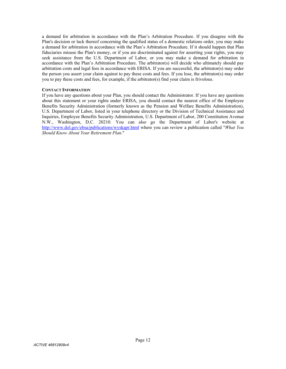a demand for arbitration in accordance with the Plan's Arbitration Procedure. If you disagree with the Plan's decision or lack thereof concerning the qualified status of a domestic relations order, you may make a demand for arbitration in accordance with the Plan's Arbitration Procedure. If it should happen that Plan fiduciaries misuse the Plan's money, or if you are discriminated against for asserting your rights, you may seek assistance from the U.S. Department of Labor, or you may make a demand for arbitration in accordance with the Plan's Arbitration Procedure. The arbitrator(s) will decide who ultimately should pay arbitration costs and legal fees in accordance with ERISA. If you are successful, the arbitrator(s) may order the person you assert your claim against to pay these costs and fees. If you lose, the arbitrator(s) may order you to pay these costs and fees, for example, if the arbitrator(s) find your claim is frivolous.

### **CONTACT INFORMATION**

If you have any questions about your Plan, you should contact the Administrator. If you have any questions about this statement or your rights under ERISA, you should contact the nearest office of the Employee Benefits Security Administration (formerly known as the Pension and Welfare Benefits Administration), U.S. Department of Labor, listed in your telephone directory or the Division of Technical Assistance and Inquiries, Employee Benefits Security Administration, U.S. Department of Labor, 200 Constitution Avenue N.W., Washington, D.C. 20210. You can also go the Department of Labor's website at http://www.dol.gov/ebsa/publications/wyskapr.html where you can review a publication called "*What You Should Know About Your Retirement Plan*."